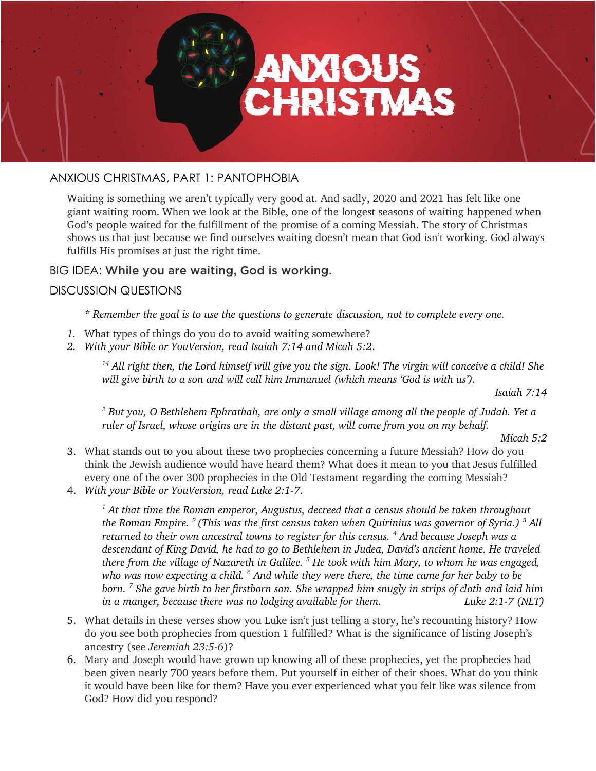

# ANXIOUS CHRISTMAS, PART 1: PANTOPHOBIA

Waiting is something we aren't typically very good at. And sadly, 2020 and 2021 has felt like one giant waiting room. When we look at the Bible, one of the longest seasons of waiting happened when God's people waited for the fulfillment of the promise of a coming Messiah. The story of Christmas shows us that just because we find ourselves waiting doesn't mean that God isn't working. God always fulfills His promises at just the right time.

## BIG IDEA: While you are waiting, God is working.

## DISCUSSION QUESTIONS

*\* Remember the goal is to use the questions to generate discussion, not to complete every one.* 

- *1.* What types of things do you do to avoid waiting somewhere?
- *2. With your Bible or YouVersion, read Isaiah 7:14 and Micah 5:2*.

*<sup>14</sup> All right then, the Lord himself will give you the sign. Look! The virgin will conceive a child! She will give birth to a son and will call him Immanuel (which means 'God is with us').*

*Isaiah 7:14*

*<sup>2</sup> But you, O Bethlehem Ephrathah, are only a small village among all the people of Judah. Yet a ruler of Israel, whose origins are in the distant past, will come from you on my behalf.*

*Micah 5:2*

- 3. What stands out to you about these two prophecies concerning a future Messiah? How do you think the Jewish audience would have heard them? What does it mean to you that Jesus fulfilled every one of the over 300 prophecies in the Old Testament regarding the coming Messiah?
- 4. *With your Bible or YouVersion, read Luke 2:1-7*.

*<sup>1</sup> At that time the Roman emperor, Augustus, decreed that a census should be taken throughout the Roman Empire. <sup>2</sup> (This was the first census taken when Quirinius was governor of Syria.) <sup>3</sup> All returned to their own ancestral towns to register for this census. 4 And because Joseph was a descendant of King David, he had to go to Bethlehem in Judea, David's ancient home. He traveled there from the village of Nazareth in Galilee. <sup>5</sup> He took with him Mary, to whom he was engaged, who was now expecting a child. 6 And while they were there, the time came for her baby to be born. <sup>7</sup> She gave birth to her firstborn son. She wrapped him snugly in strips of cloth and laid him in a manger, because there was no lodging available for them. Luke 2:1-7 (NLT)*

- 5. What details in these verses show you Luke isn't just telling a story, he's recounting history? How do you see both prophecies from question 1 fulfilled? What is the significance of listing Joseph's ancestry (see *Jeremiah 23:5-6*)?
- 6. Mary and Joseph would have grown up knowing all of these prophecies, yet the prophecies had been given nearly 700 years before them. Put yourself in either of their shoes. What do you think it would have been like for them? Have you ever experienced what you felt like was silence from God? How did you respond?